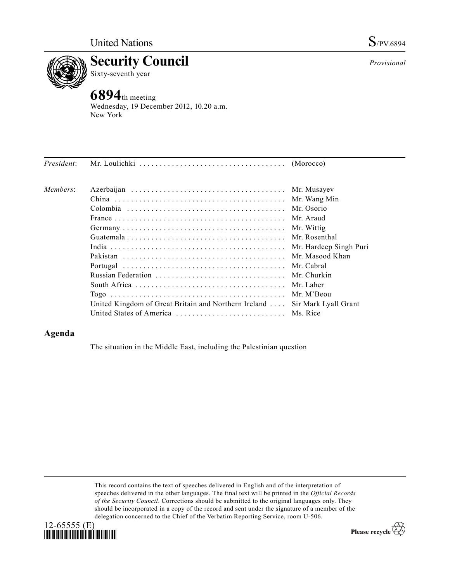



Wednesday, 19 December 2012, 10.20 a.m. New York

| President: |                                                      |                        |
|------------|------------------------------------------------------|------------------------|
| Members:   |                                                      | Mr. Musayev            |
|            |                                                      | Mr. Wang Min           |
|            |                                                      | Mr. Osorio             |
|            |                                                      | Mr. Araud              |
|            |                                                      | Mr. Wittig             |
|            |                                                      | Mr. Rosenthal          |
|            |                                                      | Mr. Hardeep Singh Puri |
|            |                                                      | Mr. Masood Khan        |
|            |                                                      |                        |
|            |                                                      | Mr. Churkin            |
|            |                                                      | Mr. Laher              |
|            |                                                      | Mr. M'Beou             |
|            | United Kingdom of Great Britain and Northern Ireland | Sir Mark Lyall Grant   |
|            |                                                      |                        |

## **Agenda**

The situation in the Middle East, including the Palestinian question

This record contains the text of speeches delivered in English and of the interpretation of speeches delivered in the other languages. The final text will be printed in the *Official Records of the Security Council*. Corrections should be submitted to the original languages only. They should be incorporated in a copy of the record and sent under the signature of a member of the delegation concerned to the Chief of the Verbatim Reporting Service, room U-506.



Please recycle  $\overleftrightarrow{C}$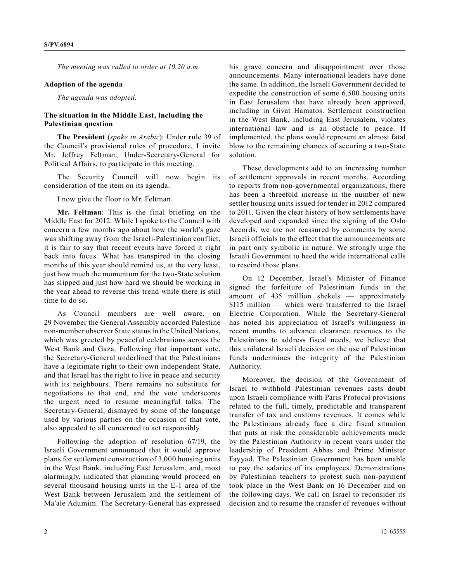*The meeting was called to order at 10.20 a.m.*

## **Adoption of the agenda**

*The agenda was adopted.*

## **The situation in the Middle East, including the Palestinian question**

**The President** (*spoke in Arabic*): Under rule 39 of the Council's provisional rules of procedure, I invite Mr. Jeffrey Feltman, Under-Secretary-General for Political Affairs, to participate in this meeting.

The Security Council will now begin its consideration of the item on its agenda.

I now give the floor to Mr. Feltman.

**Mr. Feltman**: This is the final briefing on the Middle East for 2012. While I spoke to the Council with concern a few months ago about how the world's gaze was shifting away from the Israeli-Palestinian conflict, it is fair to say that recent events have forced it right back into focus. What has transpired in the closing months of this year should remind us, at the very least, just how much the momentum for the two-State solution has slipped and just how hard we should be working in the year ahead to reverse this trend while there is still time to do so.

As Council members are well aware, on 29 November the General Assembly accorded Palestine non-member observer State status in the United Nations, which was greeted by peaceful celebrations across the West Bank and Gaza. Following that important vote, the Secretary-General underlined that the Palestinians have a legitimate right to their own independent State, and that Israel has the right to live in peace and security with its neighbours. There remains no substitute for negotiations to that end, and the vote underscores the urgent need to resume meaningful talks. The Secretary-General, dismayed by some of the language used by various parties on the occasion of that vote, also appealed to all concerned to act responsibly.

Following the adoption of resolution 67/19, the Israeli Government announced that it would approve plans for settlement construction of 3,000 housing units in the West Bank, including East Jerusalem, and, most alarmingly, indicated that planning would proceed on several thousand housing units in the E-1 area of the West Bank between Jerusalem and the settlement of Ma'ale Adumim. The Secretary-General has expressed

his grave concern and disappointment over those announcements. Many international leaders have done the same. In addition, the Israeli Government decided to expedite the construction of some 6,500 housing units in East Jerusalem that have already been approved, including in Givat Hamatos. Settlement construction in the West Bank, including East Jerusalem, violates international law and is an obstacle to peace. If implemented, the plans would represent an almost fatal blow to the remaining chances of securing a two-State solution.

These developments add to an increasing number of settlement approvals in recent months. According to reports from non-governmental organizations, there has been a threefold increase in the number of new settler housing units issued for tender in 2012 compared to 2011. Given the clear history of how settlements have developed and expanded since the signing of the Oslo Accords, we are not reassured by comments by some Israeli officials to the effect that the announcements are in part only symbolic in nature. We strongly urge the Israeli Government to heed the wide international calls to rescind those plans.

On 12 December, Israel's Minister of Finance signed the forfeiture of Palestinian funds in the amount of 435 million shekels — approximately \$115 million — which were transferred to the Israel Electric Corporation. While the Secretary-General has noted his appreciation of Israel's willingness in recent months to advance clearance revenues to the Palestinians to address fiscal needs, we believe that this unilateral Israeli decision on the use of Palestinian funds undermines the integrity of the Palestinian Authority.

Moreover, the decision of the Government of Israel to withhold Palestinian revenues casts doubt upon Israeli compliance with Paris Protocol provisions related to the full, timely, predictable and transparent transfer of tax and customs revenues. It comes while the Palestinians already face a dire fiscal situation that puts at risk the considerable achievements made by the Palestinian Authority in recent years under the leadership of President Abbas and Prime Minister Fayyad. The Palestinian Government has been unable to pay the salaries of its employees. Demonstrations by Palestinian teachers to protest such non-payment took place in the West Bank on 16 December and on the following days. We call on Israel to reconsider its decision and to resume the transfer of revenues without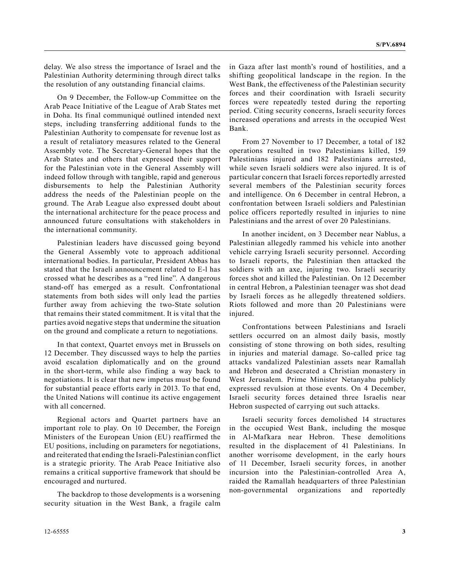delay. We also stress the importance of Israel and the Palestinian Authority determining through direct talks the resolution of any outstanding financial claims.

On 9 December, the Follow-up Committee on the Arab Peace Initiative of the League of Arab States met in Doha. Its final communiqué outlined intended next steps, including transferring additional funds to the Palestinian Authority to compensate for revenue lost as a result of retaliatory measures related to the General Assembly vote. The Secretary-General hopes that the Arab States and others that expressed their support for the Palestinian vote in the General Assembly will indeed follow through with tangible, rapid and generous disbursements to help the Palestinian Authority address the needs of the Palestinian people on the ground. The Arab League also expressed doubt about the international architecture for the peace process and announced future consultations with stakeholders in the international community.

Palestinian leaders have discussed going beyond the General Assembly vote to approach additional international bodies. In particular, President Abbas has stated that the Israeli announcement related to E-l has crossed what he describes as a "red line". A dangerous stand-off has emerged as a result. Confrontational statements from both sides will only lead the parties further away from achieving the two-State solution that remains their stated commitment. It is vital that the parties avoid negative steps that undermine the situation on the ground and complicate a return to negotiations.

In that context, Quartet envoys met in Brussels on 12 December. They discussed ways to help the parties avoid escalation diplomatically and on the ground in the short-term, while also finding a way back to negotiations. It is clear that new impetus must be found for substantial peace efforts early in 2013. To that end, the United Nations will continue its active engagement with all concerned.

Regional actors and Quartet partners have an important role to play. On 10 December, the Foreign Ministers of the European Union (EU) reaffirmed the EU positions, including on parameters for negotiations, and reiterated that ending the Israeli-Palestinian conflict is a strategic priority. The Arab Peace Initiative also remains a critical supportive framework that should be encouraged and nurtured.

The backdrop to those developments is a worsening security situation in the West Bank, a fragile calm in Gaza after last month's round of hostilities, and a shifting geopolitical landscape in the region. In the West Bank, the effectiveness of the Palestinian security forces and their coordination with Israeli security forces were repeatedly tested during the reporting period. Citing security concerns, Israeli security forces increased operations and arrests in the occupied West Bank.

From 27 November to 17 December, a total of 182 operations resulted in two Palestinians killed, 159 Palestinians injured and 182 Palestinians arrested, while seven Israeli soldiers were also injured. It is of particular concern that Israeli forces reportedly arrested several members of the Palestinian security forces and intelligence. On 6 December in central Hebron, a confrontation between Israeli soldiers and Palestinian police officers reportedly resulted in injuries to nine Palestinians and the arrest of over 20 Palestinians.

In another incident, on 3 December near Nablus, a Palestinian allegedly rammed his vehicle into another vehicle carrying Israeli security personnel. According to Israeli reports, the Palestinian then attacked the soldiers with an axe, injuring two. Israeli security forces shot and killed the Palestinian. On 12 December in central Hebron, a Palestinian teenager was shot dead by Israeli forces as he allegedly threatened soldiers. Riots followed and more than 20 Palestinians were injured.

Confrontations between Palestinians and Israeli settlers occurred on an almost daily basis, mostly consisting of stone throwing on both sides, resulting in injuries and material damage. So-called price tag attacks vandalized Palestinian assets near Ramallah and Hebron and desecrated a Christian monastery in West Jerusalem. Prime Minister Netanyahu publicly expressed revulsion at those events. On 4 December, Israeli security forces detained three Israelis near Hebron suspected of carrying out such attacks.

Israeli security forces demolished 14 structures in the occupied West Bank, including the mosque in Al-Mafkara near Hebron. These demolitions resulted in the displacement of 41 Palestinians. In another worrisome development, in the early hours of 11 December, Israeli security forces, in another incursion into the Palestinian-controlled Area A, raided the Ramallah headquarters of three Palestinian non-governmental organizations and reportedly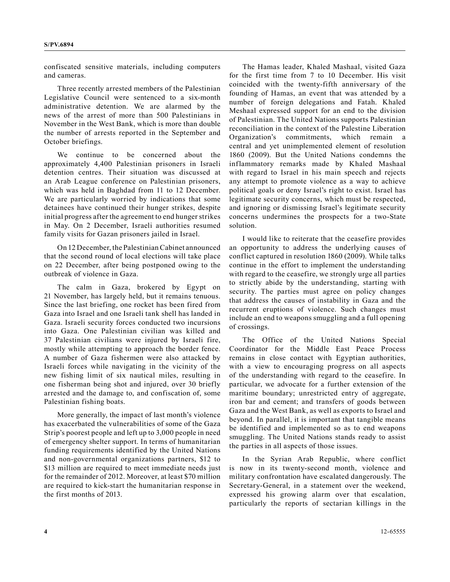confiscated sensitive materials, including computers and cameras.

Three recently arrested members of the Palestinian Legislative Council were sentenced to a six-month administrative detention. We are alarmed by the news of the arrest of more than 500 Palestinians in November in the West Bank, which is more than double the number of arrests reported in the September and October briefings.

We continue to be concerned about the approximately 4,400 Palestinian prisoners in Israeli detention centres. Their situation was discussed at an Arab League conference on Palestinian prisoners, which was held in Baghdad from 11 to 12 December. We are particularly worried by indications that some detainees have continued their hunger strikes, despite initial progress after the agreement to end hunger strikes in May. On 2 December, Israeli authorities resumed family visits for Gazan prisoners jailed in Israel.

On 12 December, the Palestinian Cabinet announced that the second round of local elections will take place on 22 December, after being postponed owing to the outbreak of violence in Gaza.

The calm in Gaza, brokered by Egypt on 21 November, has largely held, but it remains tenuous. Since the last briefing, one rocket has been fired from Gaza into Israel and one Israeli tank shell has landed in Gaza. Israeli security forces conducted two incursions into Gaza. One Palestinian civilian was killed and 37 Palestinian civilians were injured by Israeli fire, mostly while attempting to approach the border fence. A number of Gaza fishermen were also attacked by Israeli forces while navigating in the vicinity of the new fishing limit of six nautical miles, resulting in one fisherman being shot and injured, over 30 briefly arrested and the damage to, and confiscation of, some Palestinian fishing boats.

More generally, the impact of last month's violence has exacerbated the vulnerabilities of some of the Gaza Strip's poorest people and left up to 3,000 people in need of emergency shelter support. In terms of humanitarian funding requirements identified by the United Nations and non-governmental organizations partners, \$12 to \$13 million are required to meet immediate needs just for the remainder of 2012. Moreover, at least \$70 million are required to kick-start the humanitarian response in the first months of 2013.

The Hamas leader, Khaled Mashaal, visited Gaza for the first time from 7 to 10 December. His visit coincided with the twenty-fifth anniversary of the founding of Hamas, an event that was attended by a number of foreign delegations and Fatah. Khaled Meshaal expressed support for an end to the division of Palestinian. The United Nations supports Palestinian reconciliation in the context of the Palestine Liberation Organization's commitments, which remain central and yet unimplemented element of resolution 1860 (2009). But the United Nations condemns the inflammatory remarks made by Khaled Mashaal with regard to Israel in his main speech and rejects any attempt to promote violence as a way to achieve political goals or deny Israel's right to exist. Israel has legitimate security concerns, which must be respected, and ignoring or dismissing Israel's legitimate security concerns undermines the prospects for a two-State solution.

I would like to reiterate that the ceasefire provides an opportunity to address the underlying causes of conflict captured in resolution 1860 (2009). While talks continue in the effort to implement the understanding with regard to the ceasefire, we strongly urge all parties to strictly abide by the understanding, starting with security. The parties must agree on policy changes that address the causes of instability in Gaza and the recurrent eruptions of violence. Such changes must include an end to weapons smuggling and a full opening of crossings.

The Office of the United Nations Special Coordinator for the Middle East Peace Process remains in close contact with Egyptian authorities, with a view to encouraging progress on all aspects of the understanding with regard to the ceasefire. In particular, we advocate for a further extension of the maritime boundary; unrestricted entry of aggregate, iron bar and cement; and transfers of goods between Gaza and the West Bank, as well as exports to Israel and beyond. In parallel, it is important that tangible means be identified and implemented so as to end weapons smuggling. The United Nations stands ready to assist the parties in all aspects of those issues.

In the Syrian Arab Republic, where conflict is now in its twenty-second month, violence and military confrontation have escalated dangerously. The Secretary-General, in a statement over the weekend, expressed his growing alarm over that escalation, particularly the reports of sectarian killings in the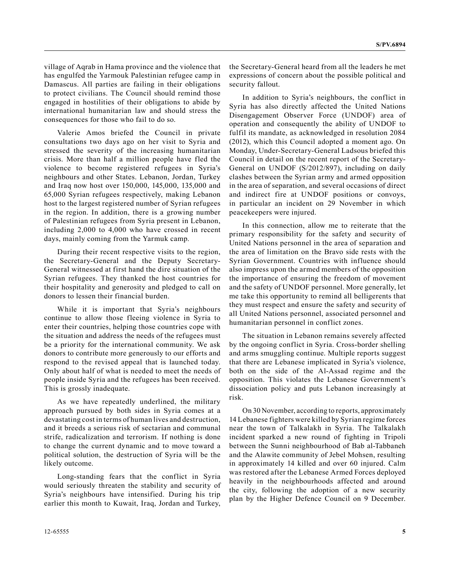village of Aqrab in Hama province and the violence that has engulfed the Yarmouk Palestinian refugee camp in Damascus. All parties are failing in their obligations to protect civilians. The Council should remind those engaged in hostilities of their obligations to abide by international humanitarian law and should stress the consequences for those who fail to do so.

Valerie Amos briefed the Council in private consultations two days ago on her visit to Syria and stressed the severity of the increasing humanitarian crisis. More than half a million people have fled the violence to become registered refugees in Syria's neighbours and other States. Lebanon, Jordan, Turkey and Iraq now host over 150,000, 145,000, 135,000 and 65,000 Syrian refugees respectively, making Lebanon host to the largest registered number of Syrian refugees in the region. In addition, there is a growing number of Palestinian refugees from Syria present in Lebanon, including 2,000 to 4,000 who have crossed in recent days, mainly coming from the Yarmuk camp.

During their recent respective visits to the region, the Secretary-General and the Deputy Secretary-General witnessed at first hand the dire situation of the Syrian refugees. They thanked the host countries for their hospitality and generosity and pledged to call on donors to lessen their financial burden.

While it is important that Syria's neighbours continue to allow those fleeing violence in Syria to enter their countries, helping those countries cope with the situation and address the needs of the refugees must be a priority for the international community. We ask donors to contribute more generously to our efforts and respond to the revised appeal that is launched today. Only about half of what is needed to meet the needs of people inside Syria and the refugees has been received. This is grossly inadequate.

As we have repeatedly underlined, the military approach pursued by both sides in Syria comes at a devastating cost in terms of human lives and destruction, and it breeds a serious risk of sectarian and communal strife, radicalization and terrorism. If nothing is done to change the current dynamic and to move toward a political solution, the destruction of Syria will be the likely outcome.

Long-standing fears that the conflict in Syria would seriously threaten the stability and security of Syria's neighbours have intensified. During his trip earlier this month to Kuwait, Iraq, Jordan and Turkey,

the Secretary-General heard from all the leaders he met expressions of concern about the possible political and security fallout.

In addition to Syria's neighbours, the conflict in Syria has also directly affected the United Nations Disengagement Observer Force (UNDOF) area of operation and consequently the ability of UNDOF to fulfil its mandate, as acknowledged in resolution 2084 (2012), which this Council adopted a moment ago. On Monday, Under-Secretary-General Ladsous briefed this Council in detail on the recent report of the Secretary-General on UNDOF (S/2012/897), including on daily clashes between the Syrian army and armed opposition in the area of separation, and several occasions of direct and indirect fire at UNDOF positions or convoys, in particular an incident on 29 November in which peacekeepers were injured.

In this connection, allow me to reiterate that the primary responsibility for the safety and security of United Nations personnel in the area of separation and the area of limitation on the Bravo side rests with the Syrian Government. Countries with influence should also impress upon the armed members of the opposition the importance of ensuring the freedom of movement and the safety of UNDOF personnel. More generally, let me take this opportunity to remind all belligerents that they must respect and ensure the safety and security of all United Nations personnel, associated personnel and humanitarian personnel in conflict zones.

The situation in Lebanon remains severely affected by the ongoing conflict in Syria. Cross-border shelling and arms smuggling continue. Multiple reports suggest that there are Lebanese implicated in Syria's violence, both on the side of the Al-Assad regime and the opposition. This violates the Lebanese Government's dissociation policy and puts Lebanon increasingly at risk.

On 30 November, according to reports, approximately 14 Lebanese fighters were killed by Syrian regime forces near the town of Talkalakh in Syria. The Talkalakh incident sparked a new round of fighting in Tripoli between the Sunni neighbourhood of Bab al-Tabbaneh and the Alawite community of Jebel Mohsen, resulting in approximately 14 killed and over 60 injured. Calm was restored after the Lebanese Armed Forces deployed heavily in the neighbourhoods affected and around the city, following the adoption of a new security plan by the Higher Defence Council on 9 December.